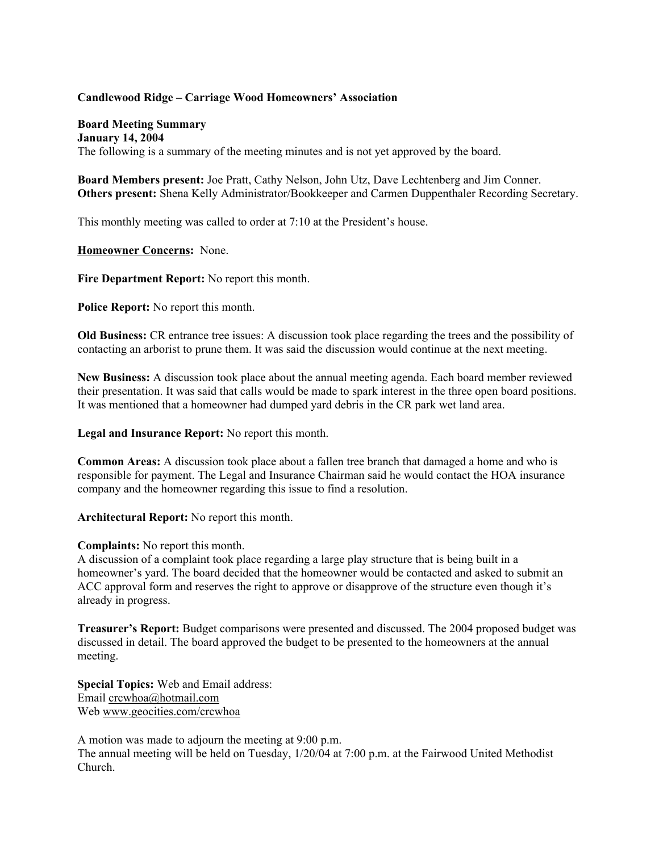## **Candlewood Ridge – Carriage Wood Homeowners' Association**

## **Board Meeting Summary**

**January 14, 2004** The following is a summary of the meeting minutes and is not yet approved by the board.

**Board Members present:** Joe Pratt, Cathy Nelson, John Utz, Dave Lechtenberg and Jim Conner. **Others present:** Shena Kelly Administrator/Bookkeeper and Carmen Duppenthaler Recording Secretary.

This monthly meeting was called to order at 7:10 at the President's house.

**Homeowner Concerns:** None.

**Fire Department Report:** No report this month.

**Police Report:** No report this month.

**Old Business:** CR entrance tree issues: A discussion took place regarding the trees and the possibility of contacting an arborist to prune them. It was said the discussion would continue at the next meeting.

**New Business:** A discussion took place about the annual meeting agenda. Each board member reviewed their presentation. It was said that calls would be made to spark interest in the three open board positions. It was mentioned that a homeowner had dumped yard debris in the CR park wet land area.

**Legal and Insurance Report:** No report this month.

**Common Areas:** A discussion took place about a fallen tree branch that damaged a home and who is responsible for payment. The Legal and Insurance Chairman said he would contact the HOA insurance company and the homeowner regarding this issue to find a resolution.

**Architectural Report:** No report this month.

## **Complaints:** No report this month.

A discussion of a complaint took place regarding a large play structure that is being built in a homeowner's yard. The board decided that the homeowner would be contacted and asked to submit an ACC approval form and reserves the right to approve or disapprove of the structure even though it's already in progress.

**Treasurer's Report:** Budget comparisons were presented and discussed. The 2004 proposed budget was discussed in detail. The board approved the budget to be presented to the homeowners at the annual meeting.

**Special Topics:** Web and Email address: Email crcwhoa@hotmail.com Web www.geocities.com/crcwhoa

A motion was made to adjourn the meeting at 9:00 p.m. The annual meeting will be held on Tuesday, 1/20/04 at 7:00 p.m. at the Fairwood United Methodist Church.